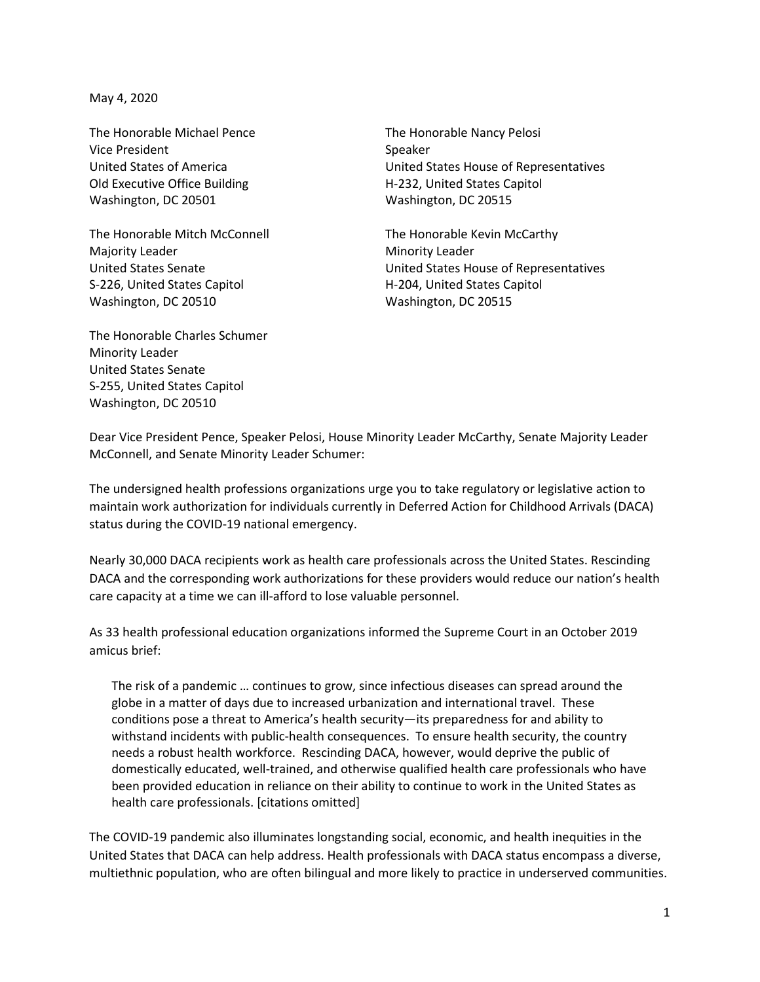May 4, 2020

The Honorable Michael Pence Vice President United States of America Old Executive Office Building Washington, DC 20501

The Honorable Mitch McConnell Majority Leader United States Senate S-226, United States Capitol Washington, DC 20510

The Honorable Charles Schumer Minority Leader United States Senate S-255, United States Capitol Washington, DC 20510

The Honorable Nancy Pelosi Speaker United States House of Representatives H-232, United States Capitol Washington, DC 20515

The Honorable Kevin McCarthy Minority Leader United States House of Representatives H-204, United States Capitol Washington, DC 20515

Dear Vice President Pence, Speaker Pelosi, House Minority Leader McCarthy, Senate Majority Leader McConnell, and Senate Minority Leader Schumer:

The undersigned health professions organizations urge you to take regulatory or legislative action to maintain work authorization for individuals currently in Deferred Action for Childhood Arrivals (DACA) status during the COVID-19 national emergency.

Nearly 30,000 DACA recipients work as health care professionals across the United States. Rescinding DACA and the corresponding work authorizations for these providers would reduce our nation's health care capacity at a time we can ill-afford to lose valuable personnel.

As 33 health professional education organizations informed the Supreme Court in an October 2019 amicus brief:

The risk of a pandemic … continues to grow, since infectious diseases can spread around the globe in a matter of days due to increased urbanization and international travel. These conditions pose a threat to America's health security—its preparedness for and ability to withstand incidents with public-health consequences. To ensure health security, the country needs a robust health workforce. Rescinding DACA, however, would deprive the public of domestically educated, well-trained, and otherwise qualified health care professionals who have been provided education in reliance on their ability to continue to work in the United States as health care professionals. [citations omitted]

The COVID-19 pandemic also illuminates longstanding social, economic, and health inequities in the United States that DACA can help address. Health professionals with DACA status encompass a diverse, multiethnic population, who are often bilingual and more likely to practice in underserved communities.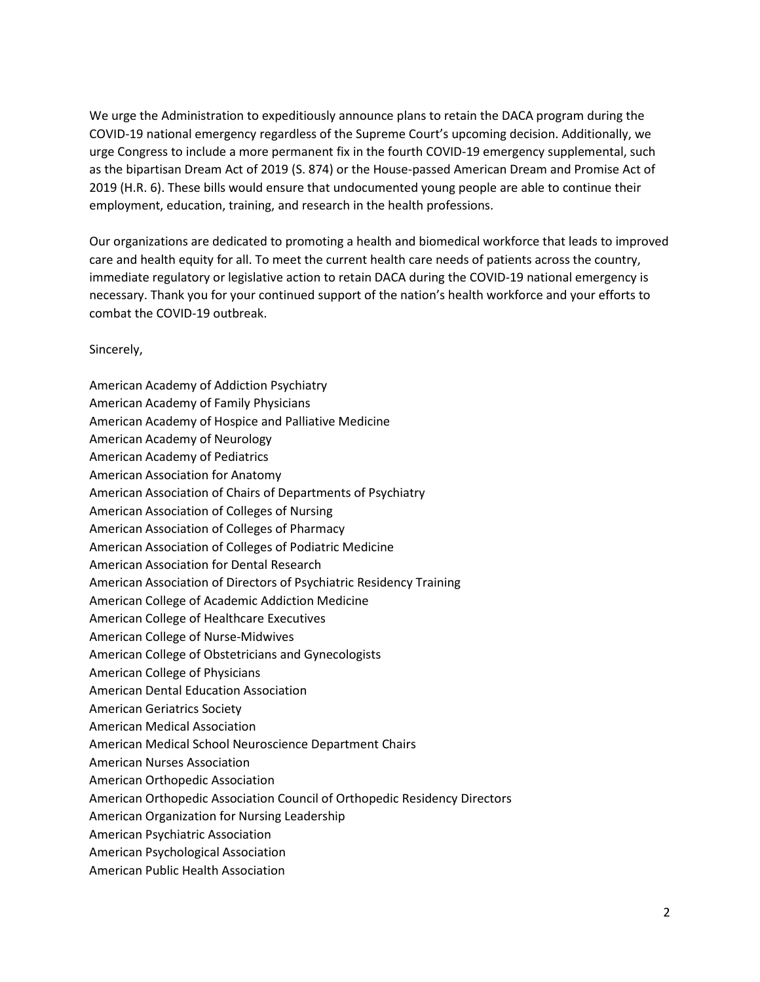We urge the Administration to expeditiously announce plans to retain the DACA program during the COVID-19 national emergency regardless of the Supreme Court's upcoming decision. Additionally, we urge Congress to include a more permanent fix in the fourth COVID-19 emergency supplemental, such as the bipartisan Dream Act of 2019 (S. 874) or the House-passed American Dream and Promise Act of 2019 (H.R. 6). These bills would ensure that undocumented young people are able to continue their employment, education, training, and research in the health professions.

Our organizations are dedicated to promoting a health and biomedical workforce that leads to improved care and health equity for all. To meet the current health care needs of patients across the country, immediate regulatory or legislative action to retain DACA during the COVID-19 national emergency is necessary. Thank you for your continued support of the nation's health workforce and your efforts to combat the COVID-19 outbreak.

## Sincerely,

American Academy of Addiction Psychiatry American Academy of Family Physicians American Academy of Hospice and Palliative Medicine American Academy of Neurology American Academy of Pediatrics American Association for Anatomy American Association of Chairs of Departments of Psychiatry American Association of Colleges of Nursing American Association of Colleges of Pharmacy American Association of Colleges of Podiatric Medicine American Association for Dental Research American Association of Directors of Psychiatric Residency Training American College of Academic Addiction Medicine American College of Healthcare Executives American College of Nurse-Midwives American College of Obstetricians and Gynecologists American College of Physicians American Dental Education Association American Geriatrics Society American Medical Association American Medical School Neuroscience Department Chairs American Nurses Association American Orthopedic Association American Orthopedic Association Council of Orthopedic Residency Directors American Organization for Nursing Leadership American Psychiatric Association American Psychological Association American Public Health Association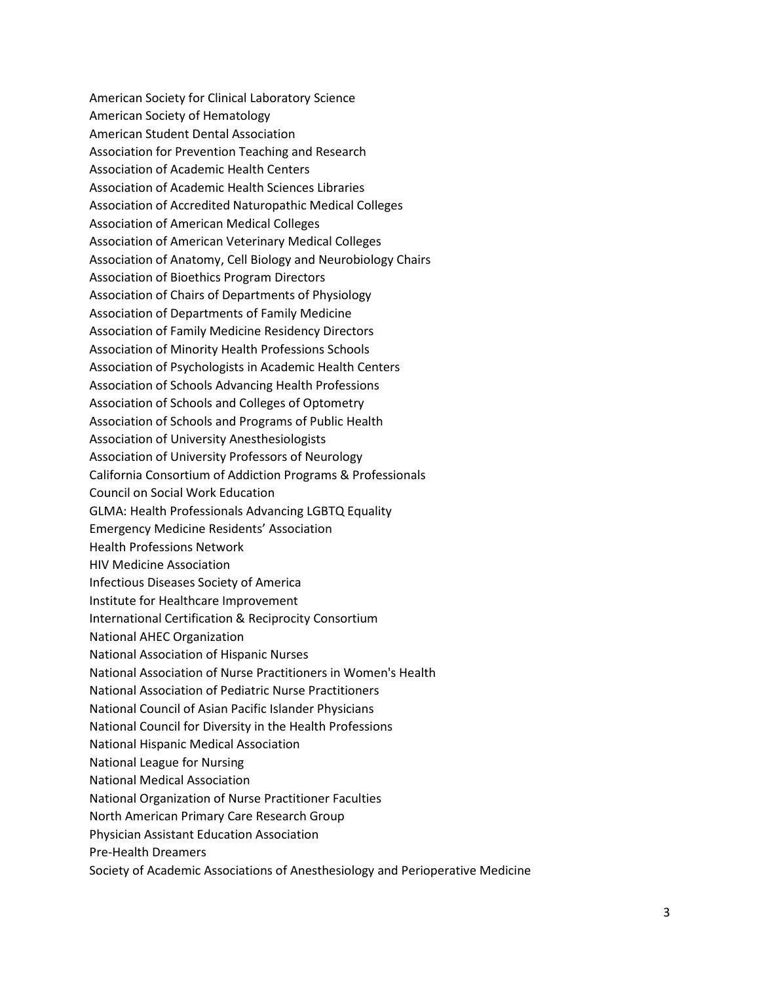American Society for Clinical Laboratory Science American Society of Hematology American Student Dental Association Association for Prevention Teaching and Research Association of Academic Health Centers Association of Academic Health Sciences Libraries Association of Accredited Naturopathic Medical Colleges Association of American Medical Colleges Association of American Veterinary Medical Colleges Association of Anatomy, Cell Biology and Neurobiology Chairs Association of Bioethics Program Directors Association of Chairs of Departments of Physiology Association of Departments of Family Medicine Association of Family Medicine Residency Directors Association of Minority Health Professions Schools Association of Psychologists in Academic Health Centers Association of Schools Advancing Health Professions Association of Schools and Colleges of Optometry Association of Schools and Programs of Public Health Association of University Anesthesiologists Association of University Professors of Neurology California Consortium of Addiction Programs & Professionals Council on Social Work Education GLMA: Health Professionals Advancing LGBTQ Equality Emergency Medicine Residents' Association Health Professions Network HIV Medicine Association Infectious Diseases Society of America Institute for Healthcare Improvement International Certification & Reciprocity Consortium National AHEC Organization National Association of Hispanic Nurses National Association of Nurse Practitioners in Women's Health National Association of Pediatric Nurse Practitioners National Council of Asian Pacific Islander Physicians National Council for Diversity in the Health Professions National Hispanic Medical Association National League for Nursing National Medical Association National Organization of Nurse Practitioner Faculties North American Primary Care Research Group Physician Assistant Education Association Pre-Health Dreamers Society of Academic Associations of Anesthesiology and Perioperative Medicine